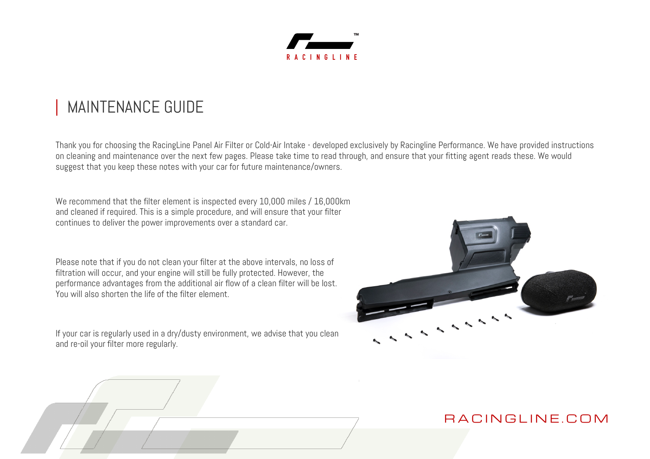

# MAINTENANCE GUIDE

Thank you for choosing the RacingLine Panel Air Filter or Cold-Air Intake - developed exclusively by Racingline Performance. We have provided instructions on cleaning and maintenance over the next few pages. Please take time to read through, and ensure that your fitting agent reads these. We would suggest that you keep these notes with your car for future maintenance/owners.

We recommend that the filter element is inspected every 10,000 miles / 16,000km and cleaned if required. This is a simple procedure, and will ensure that your filter continues to deliver the power improvements over a standard car.

Please note that if you do not clean your filter at the above intervals, no loss of filtration will occur, and your engine will still be fully protected. However, the performance advantages from the additional air flow of a clean filter will be lost. You will also shorten the life of the filter element.

If your car is regularly used in a dry/dusty environment, we advise that you clean and re-oil your filter more regularly.

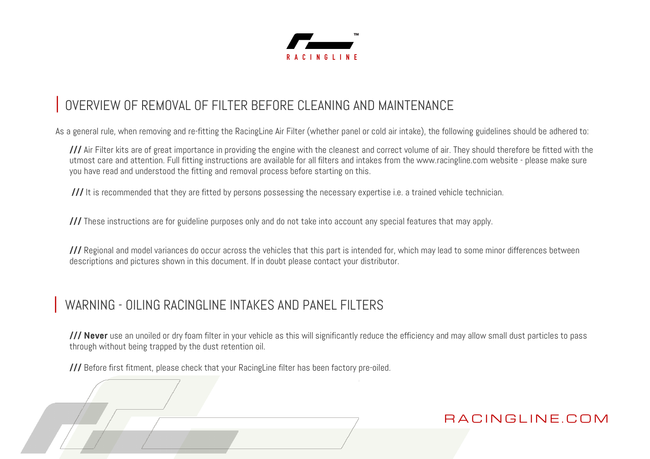

# OVERVIEW OF REMOVAL OF FILTER BEFORE CLEANING AND MAINTENANCE

As a general rule, when removing and re-fitting the RacingLine Air Filter (whether panel or cold air intake), the following guidelines should be adhered to:

**///** Air Filter kits are of great importance in providing the engine with the cleanest and correct volume of air. They should therefore be fitted with the utmost care and attention. Full fitting instructions are available for all filters and intakes from the www.racingline.com website - please make sure you have read and understood the fitting and removal process before starting on this.

**///** It is recommended that they are fitted by persons possessing the necessary expertise i.e. a trained vehicle technician.

**///** These instructions are for guideline purposes only and do not take into account any special features that may apply.

**///** Regional and model variances do occur across the vehicles that this part is intended for, which may lead to some minor differences between descriptions and pictures shown in this document. If in doubt please contact your distributor.

### WARNING - OILING RACINGLINE INTAKES AND PANEL FILTERS

**/// Never** use an unoiled or dry foam filter in your vehicle as this will significantly reduce the efficiency and may allow small dust particles to pass through without being trapped by the dust retention oil.

**///** Before first fitment, please check that your RacingLine filter has been factory pre-oiled.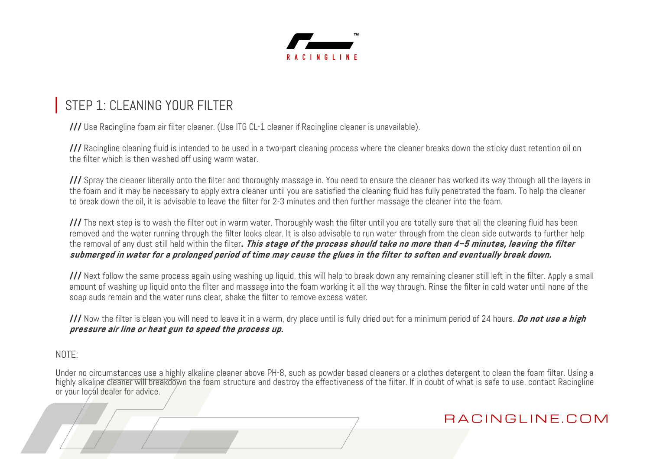

## STEP 1: CLEANING YOUR FILTER

**///** Use Racingline foam air filter cleaner. (Use ITG CL-1 cleaner if Racingline cleaner is unavailable).

**///** Racingline cleaning fluid is intended to be used in a two-part cleaning process where the cleaner breaks down the sticky dust retention oil on the filter which is then washed off using warm water.

**///** Spray the cleaner liberally onto the filter and thoroughly massage in. You need to ensure the cleaner has worked its way through all the layers in the foam and it may be necessary to apply extra cleaner until you are satisfied the cleaning fluid has fully penetrated the foam. To help the cleaner to break down the oil, it is advisable to leave the filter for 2-3 minutes and then further massage the cleaner into the foam.

**///** The next step is to wash the filter out in warm water. Thoroughly wash the filter until you are totally sure that all the cleaning fluid has been removed and the water running through the filter looks clear. It is also advisable to run water through from the clean side outwards to further help the removal of any dust still held within the filter**. This stage of the process should take no more than 4–5 minutes, leaving the filter submerged in water for a prolonged period of time may cause the glues in the filter to soften and eventually break down.**

**///** Next follow the same process again using washing up liquid, this will help to break down any remaining cleaner still left in the filter. Apply a small amount of washing up liquid onto the filter and massage into the foam working it all the way through. Rinse the filter in cold water until none of the soap suds remain and the water runs clear, shake the filter to remove excess water.

**///** Now the filter is clean you will need to leave it in a warm, dry place until is fully dried out for a minimum period of 24 hours. **Do not use a high pressure air line or heat gun to speed the process up.**

#### $N$   $0$   $T$   $F$   $\cdot$

Under no circumstances use a highly alkaline cleaner above PH-8, such as powder based cleaners or a clothes detergent to clean the foam filter. Using a highly alkaline cleaner will breakdown the foam structure and destroy the effectiveness of the filter. If in doubt of what is safe to use, contact Racingline or your local dealer for advice.